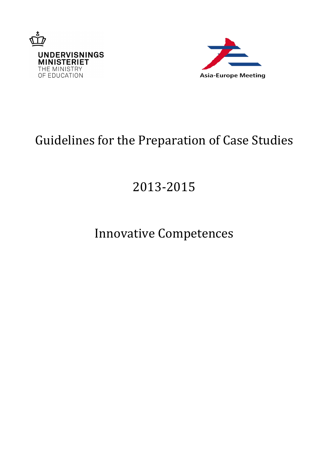



# Guidelines for the Preparation of Case Studies

# 2013-2015

# Innovative Competences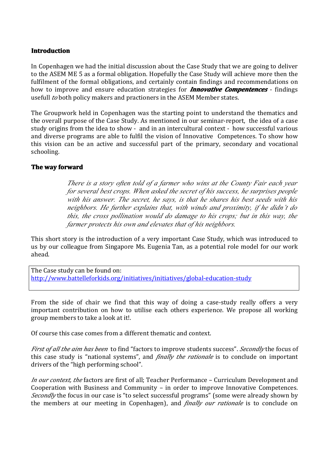#### **Introduction Introduction Introduction**

In Copenhagen we had the initial discussion about the Case Study that we are going to deliver to the ASEM ME 5 as <sup>a</sup> formal obligation. Hopefully the Case Study will achieve more then the fulfilment of the formal obligations, and certainly contain findings and recommendations on how to improve and ensure education strategies for *Innovative Innovative InnovativeCompentences* - findings usefull *to* both policy makers and practioners in the ASEM Member states.

The Groupwork held in Copenhagen was the starting point to understand the thematics and the overall purpose of the Case Study. As mentioned in our seminar-report, the idea of <sup>a</sup> case study origins from the idea to show - and in an intercultural context - how successful various and diverse programs are able to fulfil the vision of Innovative Competences. To show how this vision can be an active and successful part of the primary, secondary and vocational schooling.

#### **The** way forward

*There is <sup>a</sup> story often told of <sup>a</sup> farmer who wins at theCounty Fair each year for several best crops. When asked the secret of his success, he surprises people with his answer. The secret, he says, is that he shares his best seeds with his neighbors. He further explains that, with winds and proximity, if he didn't do this, the cross pollination would do damage to his crops; but in this way, the farmer protects his own and elevates that of his neighbors.*

This short story is the introduction of <sup>a</sup> very important Case Study, which was introduced to us by our colleague from Singapore Ms. Eugenia Tan, as <sup>a</sup> potential rolemodel for our work ahead.

The Case study can be found on: <http://www.battelleforkids.org/initiatives/initiatives/global-education-study>

From the side of chair we find that this way of doing <sup>a</sup> case-study really offers <sup>a</sup> very important contribution on how to utilise each others experience. We propose all working group members to take <sup>a</sup> look at it!.

Of course this case comes from <sup>a</sup> different thematic and context.

*First of all the aim has been* to find "factors to improve students success". *Secondly* the focus of this case study is "national systems", and *finally the rationale* is to conclude on important drivers of the "high performing school".

*In our context, the* factors are first of all; Teacher Performance – Curriculum Development and Cooperation with Business and Community – in order to improve Innovative Competences. *Secondly* the focus in our case is "to select successful programs" (some were already shown by the members at our meeting in Copenhagen), and *finally our rationale* is to conclude on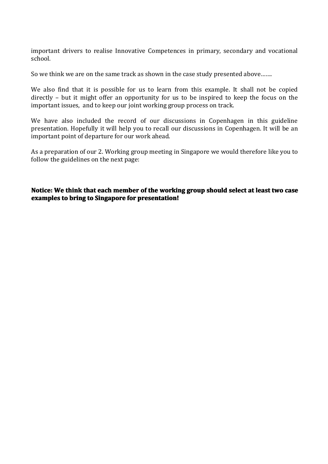important drivers to realise Innovative Competences in primary, secondary and vocational school.

So we think we are on the same track as shown in the case study presented above…….

We also find that it is possible for us to learn from this example. It shall not be copied directly – but it might offer an opportunity for us to be inspired to keep the focus on the important issues, and to keep our joint working group process on track.

We have also included the record of our discussions in Copenhagen in this guideline presentation. Hopefully it will help you to recall our discussions in Copenhagen. It will be an important point of departure for our work ahead.

As <sup>a</sup> preparation of our 2. Working group meeting in Singapore we would therefore like you to follow the guidelines on the next page:

#### Notice: We think that each member of the working group should select at least two case **examples examplesto bring to Singapore Singapore for presentation!**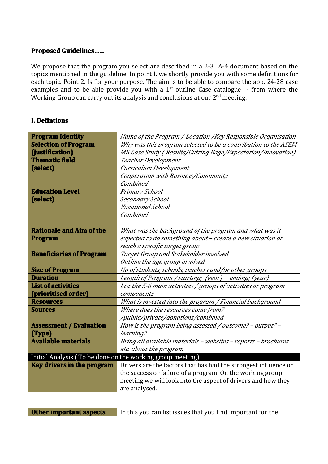### **Proposed Guidelines ......**

We propose that the program you select are described in a 2-3 A-4 document based on the topics mentioned in the guideline. In point I. we shortly provide you with some definitions for each topic. Point 2. Is for your purpose. The aim is to be able to compare the app. 24-28 case examples and to be able provide you with a 1<sup>st</sup> outline Case catalogue - from where the Working Group can carry out its analysis and conclusions at our 2<sup>nd</sup> meeting.

#### **I. Defintions**

| <b>Program Identity</b>                                    | Name of the Program / Location /Key Responsible Organisation    |
|------------------------------------------------------------|-----------------------------------------------------------------|
| <b>Selection of Program</b>                                | Why was this program selected to be a contribution to the ASEM  |
| (justification)                                            | ME Case Study (Results/Cutting Edge/Expectation/Innovation)     |
| <b>Thematic field</b>                                      | <b>Teacher Development</b>                                      |
| (select)                                                   | Curriculum Development                                          |
|                                                            | Cooperation with Business/Community                             |
|                                                            | Combined                                                        |
| <b>Education Level</b>                                     | Primary School                                                  |
| (select)                                                   | Secondary School                                                |
|                                                            | <b>Vocational School</b>                                        |
|                                                            | Combined                                                        |
|                                                            |                                                                 |
| <b>Rationale and Aim of the</b>                            | What was the background of the program and what was it          |
| <b>Program</b>                                             | expected to do something about – create a new situation or      |
|                                                            | reach a specific target group                                   |
| <b>Beneficiaries of Program</b>                            | Target Group and Stakeholder involved                           |
|                                                            | Outline the age group involved                                  |
| <b>Size of Program</b>                                     | No of students, schools, teachers and/or other groups           |
| <b>Duration</b>                                            | Length of Program / starting; (year) ending; (year)             |
| <b>List of activities</b>                                  | List the 5-6 main activities / groups of activities or program  |
| (prioritised order)                                        | components                                                      |
| <b>Resources</b>                                           | What is invested into the program / Financial background        |
| <b>Sources</b>                                             | Where does the resources come from?                             |
|                                                            | /public/private/donations/combined                              |
| <b>Assessment / Evaluation</b>                             | How is the program being assessed / outcome? - output? -        |
| (Type)                                                     | learning?                                                       |
| <b>Available materials</b>                                 | Bring all available materials - websites - reports - brochures  |
|                                                            | etc. about the program                                          |
| Initial Analysis (To be done on the working group meeting) |                                                                 |
| <b>Key drivers in the program</b>                          | Drivers are the factors that has had the strongest influence on |
|                                                            | the success or failure of a program. On the working group       |
|                                                            | meeting we will look into the aspect of drivers and how they    |
|                                                            | are analysed.                                                   |

| Other important aspects | In this you can list issues that you find important for the |
|-------------------------|-------------------------------------------------------------|
|-------------------------|-------------------------------------------------------------|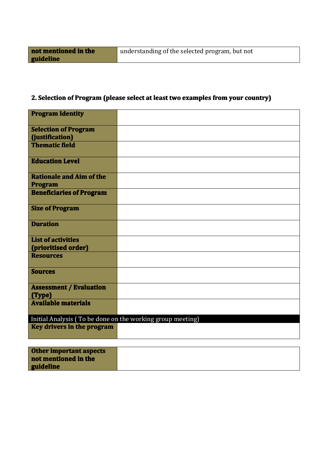## **2. Selection Selectionof Program Program ProgramProgram(please select at least twoexamples from your country) country)**

| Initial Analysis (To be done on the working group meeting) |
|------------------------------------------------------------|
| Key drivers in the program                                 |
|                                                            |

| <b>Other important aspects</b> |  |
|--------------------------------|--|
| not mentioned in the           |  |
| guideline                      |  |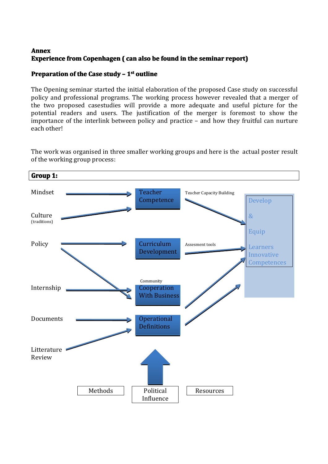### **Annex Experience from Copenhagen (** can also be found in the seminar report)

### **Preparation of the Case study – 1<sup>st</sup> outline**

The Opening seminar started the initial elaboration of the proposed Case study on successful policy and professional programs. The working process however revealed that <sup>a</sup> merger of the two proposed casestudies will provide <sup>a</sup> more adequate and useful picture for the potential readers and users. The justification of the merger is foremost to show the importance of the interlink between policy and practice – and how they fruitful can nurture each other!

**Group 1:** Mindset **Teacher** Teacher Teacher Teacher Capacity Building **Competence Culture** (traditions) Policy Curriculum Assessment tools Development Community Internship **Cooperation** With Business Documents **Contact Documents** Operational Definitions Litterature Review Develop & Equip Learners Innovative **Competences** Methods | Political | Resources Influence

The work was organised in three smaller working groups and here is the actual poster result of the working group process: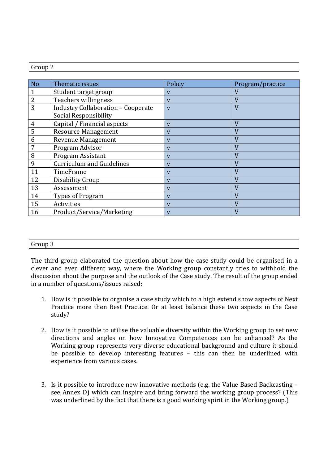| N <sub>o</sub> | Thematic issues                                                           | Policy                  | Program/practice |
|----------------|---------------------------------------------------------------------------|-------------------------|------------------|
| 1              | Student target group                                                      | V                       | V                |
| $\overline{2}$ | Teachers willingness                                                      | V                       | V                |
| 3              | <b>Industry Collaboration - Cooperate</b><br><b>Social Responsibility</b> | $\overline{\mathbf{V}}$ | V                |
| 4              | Capital / Financial aspects                                               | V                       | $\overline{V}$   |
| 5              | <b>Resource Management</b>                                                | V                       | V                |
| 6              | <b>Revenue Management</b>                                                 | V                       | V                |
|                | Program Advisor                                                           | V                       | V                |
| 8              | Program Assistant                                                         | V                       | V                |
| 9              | <b>Curriculum and Guidelines</b>                                          | V                       | V                |
| 11             | TimeFrame                                                                 | V                       | V                |
| 12             | Disability Group                                                          | V                       | V                |
| 13             | Assessment                                                                | V                       | V                |
| 14             | Types of Program                                                          | V                       | $\rm V$          |
| 15             | Activities                                                                | V                       | $\rm V$          |
| 16             | Product/Service/Marketing                                                 | V                       | V                |

#### Group 3

The third group elaborated the question about how the case study could be organised in <sup>a</sup> clever and even different way, where the Working group constantly tries to withhold the discussion about the purpose and the outlook of the Case study. The result of the group ended in <sup>a</sup> number of questions/issues raised:

- 1. How is it possible to organise <sup>a</sup> case study which to <sup>a</sup> high extend show aspects of Next Practice more then Best Practice. Or at least balance these two aspects in the Case study?
- 2. How is it possible to utilise the valuable diversity within the Working group to set new directions and angles on how Innovative Competences can be enhanced? As the Working group represents very diverse educational background and culture it should be possible to develop interesting features – this can then be underlined with experience from various cases.
- 3. Is it possible to introduce new innovative methods (e.g. the Value Based Backcasting see Annex D) which can inspire and bring forward the working group process? (This was underlined by the fact that there is <sup>a</sup> good working spirit in the Working group.)